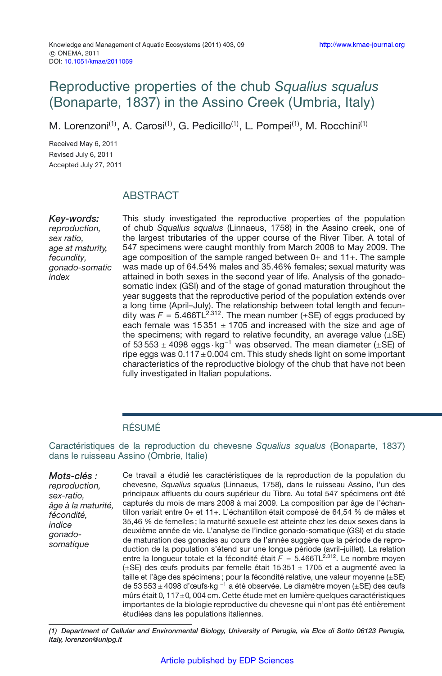# Reproductive properties of the chub *Squalius squalus* (Bonaparte, 1837) in the Assino Creek (Umbria, Italy)

M. Lorenzoni<sup>(1)</sup>, A. Carosi<sup>(1)</sup>, G. Pedicillo<sup>(1)</sup>, L. Pompei<sup>(1)</sup>, M. Rocchini<sup>(1)</sup>

Received May 6, 2011 Revised July 6, 2011 Accepted July 27, 2011

## ABSTRACT

*Key-words: reproduction, sex ratio, age at maturity, fecundity, gonado-somatic index*

This study investigated the reproductive properties of the population of chub *Squalius squalus* (Linnaeus, 1758) in the Assino creek, one of the largest tributaries of the upper course of the River Tiber. A total of 547 specimens were caught monthly from March 2008 to May 2009. The age composition of the sample ranged between 0+ and 11+. The sample was made up of 64.54% males and 35.46% females; sexual maturity was attained in both sexes in the second year of life. Analysis of the gonadosomatic index (GSI) and of the stage of gonad maturation throughout the year suggests that the reproductive period of the population extends over a long time (April–July). The relationship between total length and fecundity was  $F = 5.466TL^{2.312}$ . The mean number ( $\pm$ SE) of eggs produced by each female was  $15351 \pm 1705$  and increased with the size and age of the specimens; with regard to relative fecundity, an average value  $(\pm S E)$ of 53 553  $\pm$  4098 eggs · kg<sup>-1</sup> was observed. The mean diameter ( $\pm$ SE) of ripe eggs was  $0.117 \pm 0.004$  cm. This study sheds light on some important characteristics of the reproductive biology of the chub that have not been fully investigated in Italian populations.

### RÉSUMÉ

Caractéristiques de la reproduction du chevesne *Squalius squalus* (Bonaparte, 1837) dans le ruisseau Assino (Ombrie, Italie)

*Mots-clés : reproduction, sex-ratio, âge à la maturité, fécondité, indice gonadosomatique*

Ce travail a étudié les caractéristiques de la reproduction de la population du chevesne, *Squalius squalus* (Linnaeus, 1758), dans le ruisseau Assino, l'un des principaux affluents du cours supérieur du Tibre. Au total 547 spécimens ont été capturés du mois de mars 2008 à mai 2009. La composition par âge de l'échantillon variait entre 0+ et 11+. L'échantillon était composé de 64,54 % de mâles et 35,46 % de femelles ; la maturité sexuelle est atteinte chez les deux sexes dans la deuxième année de vie. L'analyse de l'indice gonado-somatique (GSI) et du stade de maturation des gonades au cours de l'année suggère que la période de reproduction de la population s'étend sur une longue période (avril–juillet). La relation entre la longueur totale et la fécondité était  $\bar{F} = 5.466TL^{2.312}$ . Le nombre moyen (±SE) des œufs produits par femelle était 15 351 ± 1705 et a augmenté avec la taille et l'âge des spécimens ; pour la fécondité relative, une valeur moyenne (±SE) de 53 553± 4098 d'œufs·kg <sup>−</sup><sup>1</sup> a été observée. Le diamètre moyen (±SE) des œufs mûrs était 0*,* 117±0*,* 004 cm. Cette étude met en lumière quelques caractéristiques importantes de la biologie reproductive du chevesne qui n'ont pas été entièrement étudiées dans les populations italiennes.

*(1) Department of Cellular and Environmental Biology, University of Perugia, via Elce di Sotto 06123 Perugia, Italy, lorenzon@unipg.it*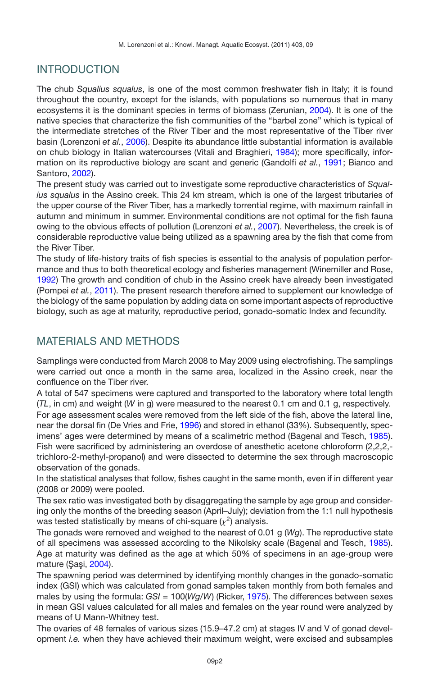## INTRODUCTION

The chub *Squalius squalus*, is one of the most common freshwater fish in Italy; it is found throughout the country, except for the islands, with populations so numerous that in many ecosystems it is the dominant species in terms of biomass (Zerunian, [2004\)](#page-9-0). It is one of the native species that characterize the fish communities of the "barbel zone" which is typical of the intermediate stretches of the River Tiber and the most representative of the Tiber river basin (Lorenzoni *et al.*, [2006\)](#page-8-0). Despite its abundance little substantial information is available on chub biology in Italian watercourses (Vitali and Braghieri, [1984](#page-9-1)); more specifically, information on its reproductive biology are scant and generic (Gandolfi *et al.*, [1991;](#page-8-1) Bianco and Santoro, [2002](#page-8-2)).

The present study was carried out to investigate some reproductive characteristics of *Squalius squalus* in the Assino creek. This 24 km stream, which is one of the largest tributaries of the upper course of the River Tiber, has a markedly torrential regime, with maximum rainfall in autumn and minimum in summer. Environmental conditions are not optimal for the fish fauna owing to the obvious effects of pollution (Lorenzoni *et al.*, [2007](#page-8-3)). Nevertheless, the creek is of considerable reproductive value being utilized as a spawning area by the fish that come from the River Tiber.

The study of life-history traits of fish species is essential to the analysis of population performance and thus to both theoretical ecology and fisheries management (Winemiller and Rose, [1992\)](#page-9-2) The growth and condition of chub in the Assino creek have already been investigated (Pompei *et al.*, [2011](#page-9-3)). The present research therefore aimed to supplement our knowledge of the biology of the same population by adding data on some important aspects of reproductive biology, such as age at maturity, reproductive period, gonado-somatic Index and fecundity.

## MATERIALS AND METHODS

Samplings were conducted from March 2008 to May 2009 using electrofishing. The samplings were carried out once a month in the same area, localized in the Assino creek, near the confluence on the Tiber river.

A total of 547 specimens were captured and transported to the laboratory where total length (*TL*, in cm) and weight (*W* in g) were measured to the nearest 0.1 cm and 0.1 g, respectively. For age assessment scales were removed from the left side of the fish, above the lateral line, near the dorsal fin (De Vries and Frie, [1996\)](#page-8-4) and stored in ethanol (33%). Subsequently, specimens' ages were determined by means of a scalimetric method (Bagenal and Tesch, [1985](#page-8-5)). Fish were sacrificed by administering an overdose of anesthetic acetone chloroform (2,2,2, trichloro-2-methyl-propanol) and were dissected to determine the sex through macroscopic observation of the gonads.

In the statistical analyses that follow, fishes caught in the same month, even if in different year (2008 or 2009) were pooled.

The sex ratio was investigated both by disaggregating the sample by age group and considering only the months of the breeding season (April–July); deviation from the 1:1 null hypothesis was tested statistically by means of chi-square  $(x^2)$  analysis.

The gonads were removed and weighed to the nearest of 0.01 g (*Wg*). The reproductive state of all specimens was assessed according to the Nikolsky scale (Bagenal and Tesch, [1985](#page-8-5)). Age at maturity was defined as the age at which 50% of specimens in an age-group were mature (Şaşi, [2004\)](#page-9-4).

The spawning period was determined by identifying monthly changes in the gonado-somatic index (GSI) which was calculated from gonad samples taken monthly from both females and males by using the formula: *GSI* = 100(*Wg*/*W*) (Ricker, [1975](#page-9-5)). The differences between sexes in mean GSI values calculated for all males and females on the year round were analyzed by means of U Mann-Whitney test.

The ovaries of 48 females of various sizes (15.9–47.2 cm) at stages IV and V of gonad development *i.e.* when they have achieved their maximum weight, were excised and subsamples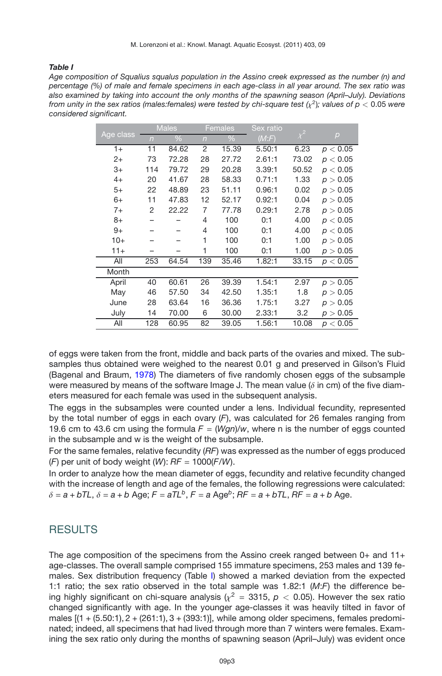#### <span id="page-2-0"></span>*Table I*

*Age composition of Squalius squalus population in the Assino creek expressed as the number (n) and percentage (%) of male and female specimens in each age-class in all year around. The sex ratio was also examined by taking into account the only months of the spawning season (April–July). Deviations from unity in the sex ratios (males:females) were tested by chi-square test*  $(\chi^2)$ *; values of*  $p < 0.05$  *were considered significant.*

|           |                | <b>Males</b>  |                | Females | Sex ratio |          |          |
|-----------|----------------|---------------|----------------|---------|-----------|----------|----------|
| Age class | $\overline{n}$ | $\frac{0}{6}$ | $\overline{n}$ | $\%$    | (M: F)    | $\chi^2$ | p        |
| $1+$      | 11             | 84.62         | 2              | 15.39   | 5.50:1    | 6.23     | p < 0.05 |
| $2+$      | 73             | 72.28         | 28             | 27.72   | 2.61:1    | 73.02    | p < 0.05 |
| 3+        | 114            | 79.72         | 29             | 20.28   | 3.39:1    | 50.52    | p < 0.05 |
| $4+$      | 20             | 41.67         | 28             | 58.33   | 0.71:1    | 1.33     | p > 0.05 |
| 5+        | 22             | 48.89         | 23             | 51.11   | 0.96:1    | 0.02     | p > 0.05 |
| 6+        | 11             | 47.83         | 12             | 52.17   | 0.92:1    | 0.04     | p > 0.05 |
| $7+$      | $\overline{2}$ | 22.22         | 7              | 77.78   | 0.29:1    | 2.78     | p > 0.05 |
| 8+        |                |               | 4              | 100     | 0:1       | 4.00     | p < 0.05 |
| $9+$      |                |               | 4              | 100     | 0:1       | 4.00     | p < 0.05 |
| $10+$     |                |               | 1              | 100     | 0:1       | 1.00     | p > 0.05 |
| $11+$     |                |               | 1              | 100     | 0:1       | 1.00     | p > 0.05 |
| All       | 253            | 64.54         | 139            | 35.46   | 1.82:1    | 33.15    | p < 0.05 |
| Month     |                |               |                |         |           |          |          |
| April     | 40             | 60.61         | 26             | 39.39   | 1.54:1    | 2.97     | p > 0.05 |
| May       | 46             | 57.50         | 34             | 42.50   | 1.35:1    | 1.8      | p > 0.05 |
| June      | 28             | 63.64         | 16             | 36.36   | 1.75:1    | 3.27     | p > 0.05 |
| July      | 14             | 70.00         | 6              | 30.00   | 2.33:1    | 3.2      | p > 0.05 |
| All       | 128            | 60.95         | 82             | 39.05   | 1.56:1    | 10.08    | p < 0.05 |

of eggs were taken from the front, middle and back parts of the ovaries and mixed. The subsamples thus obtained were weighed to the nearest 0.01 g and preserved in Gilson's Fluid (Bagenal and Braum, [1978](#page-7-0)) The diameters of five randomly chosen eggs of the subsample were measured by means of the software Image J. The mean value ( $\delta$  in cm) of the five diameters measured for each female was used in the subsequent analysis.

The eggs in the subsamples were counted under a lens. Individual fecundity, represented by the total number of eggs in each ovary (*F*), was calculated for 26 females ranging from 19.6 cm to 43.6 cm using the formula  $F = (Wgn)/w$ , where n is the number of eggs counted in the subsample and w is the weight of the subsample.

For the same females, relative fecundity (*RF*) was expressed as the number of eggs produced (*F*) per unit of body weight (*W*): *RF* = 1000(*F*/*W*).

In order to analyze how the mean diameter of eggs, fecundity and relative fecundity changed with the increase of length and age of the females, the following regressions were calculated:  $\delta = a + bTL$ ,  $\delta = a + b$  Age;  $F = aTL^b$ ,  $F = a$  Age<sup>b</sup>;  $RF = a + bTL$ ,  $RF = a + b$  Age.

### RESULTS

The age composition of the specimens from the Assino creek ranged between 0+ and 11+ age-classes. The overall sample comprised 155 immature specimens, 253 males and 139 females. Sex distribution frequency (Table [I\)](#page-2-0) showed a marked deviation from the expected 1:1 ratio; the sex ratio observed in the total sample was 1.82:1 (*M*:*F*) the difference being highly significant on chi-square analysis ( $\chi^2 = 3315$ ,  $p < 0.05$ ). However the sex ratio changed significantly with age. In the younger age-classes it was heavily tilted in favor of males  $[(1 + (5.50:1), 2 + (261:1), 3 + (393:1)],$  while among older specimens, females predominated; indeed, all specimens that had lived through more than 7 winters were females. Examining the sex ratio only during the months of spawning season (April–July) was evident once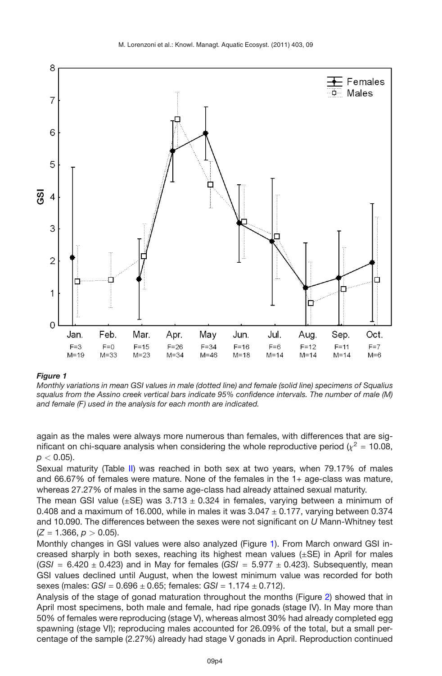

#### <span id="page-3-0"></span>*Figure 1*

*Monthly variations in mean GSI values in male (dotted line) and female (solid line) specimens of Squalius squalus from the Assino creek vertical bars indicate 95% confidence intervals. The number of male (M) and female (F) used in the analysis for each month are indicated.*

again as the males were always more numerous than females, with differences that are significant on chi-square analysis when considering the whole reproductive period ( $\chi^2$  = 10.08, *p <* 0.05).

Sexual maturity (Table [II\)](#page-4-0) was reached in both sex at two years, when 79.17% of males and 66.67% of females were mature. None of the females in the 1+ age-class was mature, whereas 27.27% of males in the same age-class had already attained sexual maturity.

The mean GSI value  $(\pm S$ E) was 3.713  $\pm$  0.324 in females, varying between a minimum of 0.408 and a maximum of 16.000, while in males it was  $3.047 \pm 0.177$ , varying between 0.374 and 10.090. The differences between the sexes were not significant on *U* Mann-Whitney test  $(Z = 1.366, p > 0.05)$ .

Monthly changes in GSI values were also analyzed (Figure [1\)](#page-3-0). From March onward GSI increased sharply in both sexes, reaching its highest mean values  $(\pm S E)$  in April for males  $(GSI = 6.420 \pm 0.423)$  and in May for females  $(GSI = 5.977 \pm 0.423)$ . Subsequently, mean GSI values declined until August, when the lowest minimum value was recorded for both sexes (males: *GSI* = 0.696 ± 0.65; females: *GSI* = 1.174 ± 0.712).

Analysis of the stage of gonad maturation throughout the months (Figure [2\)](#page-5-0) showed that in April most specimens, both male and female, had ripe gonads (stage IV). In May more than 50% of females were reproducing (stage V), whereas almost 30% had already completed egg spawning (stage VI); reproducing males accounted for 26.09% of the total, but a small percentage of the sample (2.27%) already had stage V gonads in April. Reproduction continued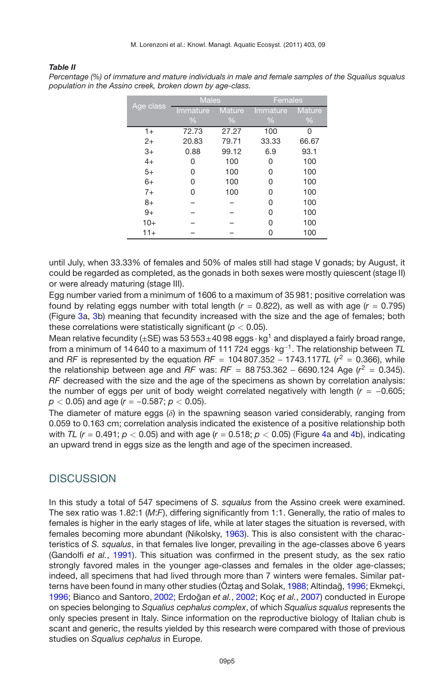*Percentage (%) of immature and mature individuals in male and female samples of the Squalius squalus*

#### <span id="page-4-0"></span>*Table II*

*population in the Assino creek, broken down by age-class.* Age class **Females** Immature Mature Immature Mature %%%%

|       | $\frac{0}{6}$ | $\frac{0}{6}$ | $\frac{0}{0}$ | %     |
|-------|---------------|---------------|---------------|-------|
| $1+$  | 72.73         | 27.27         | 100           | 0     |
| $2+$  | 20.83         | 79.71         | 33.33         | 66.67 |
| $3+$  | 0.88          | 99.12         | 6.9           | 93.1  |
| $4+$  | 0             | 100           | 0             | 100   |
| $5+$  | 0             | 100           | 0             | 100   |
| $6+$  | 0             | 100           | 0             | 100   |
| $7+$  | 0             | 100           | 0             | 100   |
| $8+$  |               |               | 0             | 100   |
| $9+$  |               |               | 0             | 100   |
| $10+$ |               |               | U             | 100   |
| $11+$ |               |               |               | 100   |

until July, when 33.33% of females and 50% of males still had stage V gonads; by August, it could be regarded as completed, as the gonads in both sexes were mostly quiescent (stage II) or were already maturing (stage III).

Egg number varied from a minimum of 1606 to a maximum of 35 981; positive correlation was found by relating eggs number with total length  $(r = 0.822)$ , as well as with age  $(r = 0.795)$ (Figure [3a](#page-6-0), [3b](#page-6-0)) meaning that fecundity increased with the size and the age of females; both these correlations were statistically significant (*p <* 0.05).

Mean relative fecundity ( $\pm$ SE) was 53 553 $\pm$ 40 98 eggs  $\cdot$  kg<sup>1</sup> and displayed a fairly broad range, from a minimum of 14 640 to a maximum of 111 724 eggs · kg−1. The relationship between *TL* and *RF* is represented by the equation  $RF = 104807.352 - 1743.1177L$  ( $r^2 = 0.366$ ), while the relationship between age and *RF* was:  $RF = 88753.362 - 6690.124$  Age ( $r^2 = 0.345$ ). *RF* decreased with the size and the age of the specimens as shown by correlation analysis: the number of eggs per unit of body weight correlated negatively with length (*r* = −0.605; *p <* 0.05) and age (*r* = −0.587; *p <* 0.05).

The diameter of mature eggs  $(\delta)$  in the spawning season varied considerably, ranging from 0.059 to 0.163 cm; correlation analysis indicated the existence of a positive relationship both with *TL*  $(r = 0.491; p < 0.05)$  and with age  $(r = 0.518; p < 0.05)$  (Figure [4a](#page-6-1) and [4b](#page-6-1)), indicating an upward trend in eggs size as the length and age of the specimen increased.

### **DISCUSSION**

In this study a total of 547 specimens of *S. squalus* from the Assino creek were examined. The sex ratio was 1.82:1 (*M*:*F*), differing significantly from 1:1. Generally, the ratio of males to females is higher in the early stages of life, while at later stages the situation is reversed, with females becoming more abundant (Nikolsky, [1963](#page-9-6)). This is also consistent with the characteristics of *S. squalus*, in that females live longer, prevailing in the age-classes above 6 years (Gandolfi *et al.*, [1991\)](#page-8-1). This situation was confirmed in the present study, as the sex ratio strongly favored males in the younger age-classes and females in the older age-classes; indeed, all specimens that had lived through more than 7 winters were females. Similar pat-terns have been found in many other studies (Öztaş and Solak, [1988;](#page-9-7) Altindağ, [1996](#page-7-1); Ekmekçi, [1996;](#page-8-6) Bianco and Santoro, [2002](#page-8-2); Erdoğan et al., [2002;](#page-8-7) Koç et al., [2007\)](#page-8-8) conducted in Europe on species belonging to *Squalius cephalus complex*, of which *Squalius squalus* represents the only species present in Italy. Since information on the reproductive biology of Italian chub is scant and generic, the results yielded by this research were compared with those of previous studies on *Squalius cephalus* in Europe.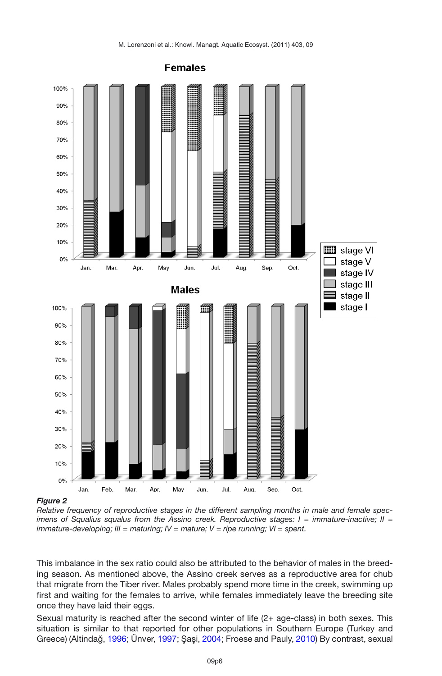

#### <span id="page-5-0"></span>*Figure 2*

*Relative frequency of reproductive stages in the different sampling months in male and female specimens of Squalius squalus from the Assino creek. Reproductive stages: I = immature-inactive; II = immature-developing; III* = *maturing; IV* = *mature; V* = *ripe running; VI* = *spent.*

This imbalance in the sex ratio could also be attributed to the behavior of males in the breeding season. As mentioned above, the Assino creek serves as a reproductive area for chub that migrate from the Tiber river. Males probably spend more time in the creek, swimming up first and waiting for the females to arrive, while females immediately leave the breeding site once they have laid their eggs.

Sexual maturity is reached after the second winter of life (2+ age-class) in both sexes. This situation is similar to that reported for other populations in Southern Europe (Turkey and Greece) (Altindağ, [1996](#page-7-1); Ünver, [1997](#page-9-8); Şaşi, [2004;](#page-9-4) Froese and Pauly, [2010\)](#page-8-9) By contrast, sexual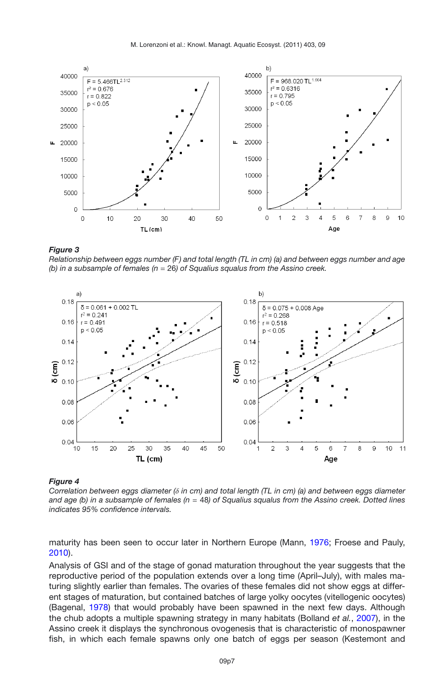<span id="page-6-0"></span>M. Lorenzoni et al.: Knowl. Managt. Aquatic Ecosyst. (2011) 403, 09



#### *Figure 3*

*Relationship between eggs number (F) and total length (TL in cm) (a) and between eggs number and age (b) in a subsample of females (n* = 26*) of Squalius squalus from the Assino creek.*

<span id="page-6-1"></span>

#### *Figure 4*

*Correlation between eggs diameter (*δ *in cm) and total length (TL in cm) (a) and between eggs diameter and age (b) in a subsample of females (n* = 48*) of Squalius squalus from the Assino creek. Dotted lines indicates 95% confidence intervals.*

maturity has been seen to occur later in Northern Europe (Mann, [1976;](#page-9-9) Froese and Pauly, [2010\)](#page-8-9).

Analysis of GSI and of the stage of gonad maturation throughout the year suggests that the reproductive period of the population extends over a long time (April–July), with males maturing slightly earlier than females. The ovaries of these females did not show eggs at different stages of maturation, but contained batches of large yolky oocytes (vitellogenic oocytes) (Bagenal, [1978\)](#page-7-0) that would probably have been spawned in the next few days. Although the chub adopts a multiple spawning strategy in many habitats (Bolland *et al.*, [2007\)](#page-8-10), in the Assino creek it displays the synchronous ovogenesis that is characteristic of monospawner fish, in which each female spawns only one batch of eggs per season (Kestemont and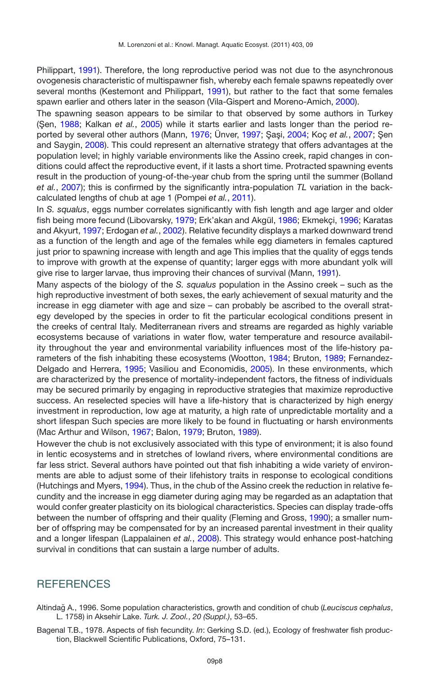Philippart, [1991](#page-8-11)). Therefore, the long reproductive period was not due to the asynchronous ovogenesis characteristic of multispawner fish, whereby each female spawns repeatedly over several months (Kestemont and Philippart, [1991](#page-8-11)), but rather to the fact that some females spawn earlier and others later in the season (Vila-Gispert and Moreno-Amich, [2000\)](#page-9-10).

The spawning season appears to be similar to that observed by some authors in Turkey (Sen, [1988](#page-9-11); Kalkan et al., [2005\)](#page-8-12) while it starts earlier and lasts longer than the period re-ported by several other authors (Mann, [1976;](#page-9-9) Ünver, [1997](#page-9-8); Şaşi, [2004](#page-9-4); Koç et al., [2007](#page-8-8); Şen and Saygin, [2008](#page-9-12)). This could represent an alternative strategy that offers advantages at the population level; in highly variable environments like the Assino creek, rapid changes in conditions could affect the reproductive event, if it lasts a short time. Protracted spawning events result in the production of young-of-the-year chub from the spring until the summer (Bolland *et al.*, [2007](#page-8-10)); this is confirmed by the significantly intra-population *TL* variation in the backcalculated lengths of chub at age 1 (Pompei *et al.*, [2011](#page-9-3)).

In *S. squalus*, eggs number correlates significantly with fish length and age larger and older fish being more fecund (Libovarsky, [1979](#page-8-13); Erk'akan and Akgül, [1986](#page-8-14); Ekmekci, [1996](#page-8-6); Karatas and Akyurt, [1997](#page-8-15); Erdogan *et al.*, [2002](#page-8-7)). Relative fecundity displays a marked downward trend as a function of the length and age of the females while egg diameters in females captured just prior to spawning increase with length and age This implies that the quality of eggs tends to improve with growth at the expense of quantity; larger eggs with more abundant yolk will give rise to larger larvae, thus improving their chances of survival (Mann, [1991](#page-9-13)).

Many aspects of the biology of the *S. squalus* population in the Assino creek – such as the high reproductive investment of both sexes, the early achievement of sexual maturity and the increase in egg diameter with age and size – can probably be ascribed to the overall strategy developed by the species in order to fit the particular ecological conditions present in the creeks of central Italy. Mediterranean rivers and streams are regarded as highly variable ecosystems because of variations in water flow, water temperature and resource availability throughout the year and environmental variability influences most of the life-history pa-rameters of the fish inhabiting these ecosystems (Wootton, [1984](#page-9-14); Bruton, [1989;](#page-8-16) Fernandez-Delgado and Herrera, [1995;](#page-8-17) Vasiliou and Economidis, [2005\)](#page-9-15). In these environments, which are characterized by the presence of mortality-independent factors, the fitness of individuals may be secured primarily by engaging in reproductive strategies that maximize reproductive success. An reselected species will have a life-history that is characterized by high energy investment in reproduction, low age at maturity, a high rate of unpredictable mortality and a short lifespan Such species are more likely to be found in fluctuating or harsh environments (Mac Arthur and Wilson, [1967](#page-9-16); Balon, [1979](#page-8-18); Bruton, [1989\)](#page-8-16).

However the chub is not exclusively associated with this type of environment; it is also found in lentic ecosystems and in stretches of lowland rivers, where environmental conditions are far less strict. Several authors have pointed out that fish inhabiting a wide variety of environments are able to adjust some of their lifehistory traits in response to ecological conditions (Hutchings and Myers, [1994](#page-8-19)). Thus, in the chub of the Assino creek the reduction in relative fecundity and the increase in egg diameter during aging may be regarded as an adaptation that would confer greater plasticity on its biological characteristics. Species can display trade-offs between the number of offspring and their quality (Fleming and Gross, [1990](#page-8-20)); a smaller number of offspring may be compensated for by an increased parental investment in their quality and a longer lifespan (Lappalainen *et al.*, [2008](#page-8-21)). This strategy would enhance post-hatching survival in conditions that can sustain a large number of adults.

## **REFERENCES**

<span id="page-7-1"></span>Altindağ A., 1996. Some population characteristics, growth and condition of chub (Leuciscus cephalus, L. 1758) in Aksehir Lake. *Turk. J. Zool.*, *20 (Suppl.)*, 53–65.

<span id="page-7-0"></span>Bagenal T.B., 1978. Aspects of fish fecundity. *In*: Gerking S.D. (ed.), Ecology of freshwater fish production, Blackwell Scientific Publications, Oxford, 75–131.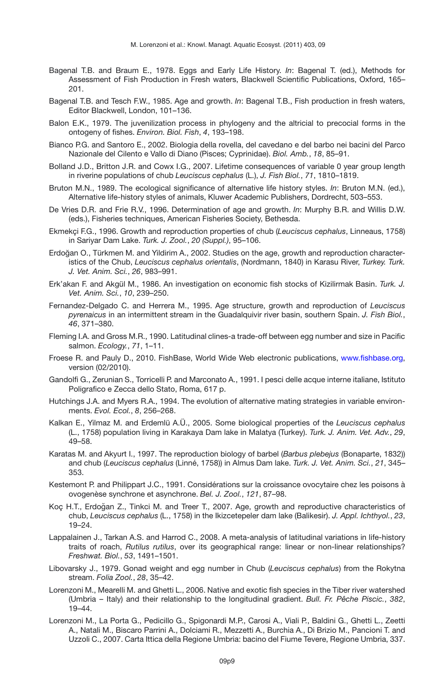- Bagenal T.B. and Braum E., 1978. Eggs and Early Life History. *In*: Bagenal T. (ed.), Methods for Assessment of Fish Production in Fresh waters, Blackwell Scientific Publications, Oxford, 165– 201.
- <span id="page-8-5"></span>Bagenal T.B. and Tesch F.W., 1985. Age and growth. *In*: Bagenal T.B., Fish production in fresh waters, Editor Blackwell, London, 101–136.
- <span id="page-8-18"></span>Balon E.K., 1979. The juvenilization process in phylogeny and the altricial to precocial forms in the ontogeny of fishes. *Environ. Biol. Fish*, *4*, 193–198.
- <span id="page-8-2"></span>Bianco P.G. and Santoro E., 2002. Biologia della rovella, del cavedano e del barbo nei bacini del Parco Nazionale del Cilento e Vallo di Diano (Pisces; Cyprinidae). *Biol. Amb.*, *18*, 85–91.
- <span id="page-8-10"></span>Bolland J.D., Britton J.R. and Cowx I.G., 2007. Lifetime consequences of variable 0 year group length in riverine populations of chub *Leuciscus cephalus* (L.), *J. Fish Biol.*, *71*, 1810–1819.
- <span id="page-8-16"></span>Bruton M.N., 1989. The ecological significance of alternative life history styles. *In*: Bruton M.N. (ed.), Alternative life-history styles of animals, Kluwer Academic Publishers, Dordrecht, 503–553.
- <span id="page-8-4"></span>De Vries D.R. and Frie R.V., 1996. Determination of age and growth. *In*: Murphy B.R. and Willis D.W. (eds.), Fisheries techniques, American Fisheries Society, Bethesda.
- <span id="page-8-6"></span>Ekmekçi F.G., 1996. Growth and reproduction properties of chub (*Leuciscus cephalus*, Linneaus, 1758) in Sariyar Dam Lake. *Turk. J. Zool.*, *20 (Suppl.)*, 95–106.
- <span id="page-8-7"></span>Erdogan O., Türkmen M. and Yildirim A., 2002. Studies on the age, growth and reproduction character- ˘ istics of the Chub, *Leuciscus cephalus orientalis*, (Nordmann, 1840) in Karasu River, *Turkey. Turk. J. Vet. Anim. Sci.*, *26*, 983–991.
- <span id="page-8-14"></span>Erk'akan F. and Akgül M., 1986. An investigation on economic fish stocks of Kizilirmak Basin. *Turk. J. Vet. Anim. Sci.*, *10*, 239–250.
- <span id="page-8-17"></span>Fernandez-Delgado C. and Herrera M., 1995. Age structure, growth and reproduction of *Leuciscus pyrenaicus* in an intermittent stream in the Guadalquivir river basin, southern Spain. *J. Fish Biol.*, *46*, 371–380.
- <span id="page-8-20"></span>Fleming I.A. and Gross M.R., 1990. Latitudinal clines-a trade-off between egg number and size in Pacific salmon. *Ecology.*, *71*, 1–11.
- <span id="page-8-9"></span>Froese R. and Pauly D., 2010. FishBase, World Wide Web electronic publications, [www.fishbase.org,](www.fishbase.org) version (02/2010).
- <span id="page-8-1"></span>Gandolfi G., Zerunian S., Torricelli P. and Marconato A., 1991. I pesci delle acque interne italiane, Istituto Poligrafico e Zecca dello Stato, Roma, 617 p.
- <span id="page-8-19"></span>Hutchings J.A. and Myers R.A., 1994. The evolution of alternative mating strategies in variable environments. *Evol. Ecol.*, *8*, 256–268.
- <span id="page-8-12"></span>Kalkan E., Yilmaz M. and Erdemlü A.Ü., 2005. Some biological properties of the *Leuciscus cephalus* (L., 1758) population living in Karakaya Dam lake in Malatya (Turkey). *Turk. J. Anim. Vet. Adv.*, *29*, 49–58.
- <span id="page-8-15"></span>Karatas M. and Akyurt I., 1997. The reproduction biology of barbel (*Barbus plebejus* (Bonaparte, 1832)) and chub (*Leuciscus cephalus* (Linné, 1758)) in Almus Dam lake. *Turk. J. Vet. Anim. Sci.*, *21*, 345– 353.
- <span id="page-8-11"></span>Kestemont P. and Philippart J.C., 1991. Considérations sur la croissance ovocytaire chez les poisons à ovogenèse synchrone et asynchrone. *Bel. J. Zool.*, *121*, 87–98.
- <span id="page-8-8"></span>Koç H.T., Erdogan Z., Tinkci M. and Treer T., 2007. Age, growth and reproductive characteristics of ˘ chub, *Leuciscus cephalus* (L., 1758) in the Ikizcetepeler dam lake (Balikesir). *J. Appl. Ichthyol.*, *23*, 19–24.
- <span id="page-8-21"></span>Lappalainen J., Tarkan A.S. and Harrod C., 2008. A meta-analysis of latitudinal variations in life-history traits of roach, *Rutilus rutilus*, over its geographical range: linear or non-linear relationships? *Freshwat. Biol.*, *53*, 1491–1501.
- <span id="page-8-13"></span>Libovarsky J., 1979. Gonad weight and egg number in Chub (*Leuciscus cephalus*) from the Rokytna stream. *Folia Zool.*, *28*, 35–42.
- <span id="page-8-0"></span>Lorenzoni M., Mearelli M. and Ghetti L., 2006. Native and exotic fish species in the Tiber river watershed (Umbria – Italy) and their relationship to the longitudinal gradient. *Bull. Fr. Pêche Piscic.*, *382*, 19–44.
- <span id="page-8-3"></span>Lorenzoni M., La Porta G., Pedicillo G., Spigonardi M.P., Carosi A., Viali P., Baldini G., Ghetti L., Zeetti A., Natali M., Biscaro Parrini A., Dolciami R., Mezzetti A., Burchia A., Di Brizio M., Pancioni T. and Uzzoli C., 2007. Carta Ittica della Regione Umbria: bacino del Fiume Tevere, Regione Umbria, 337.